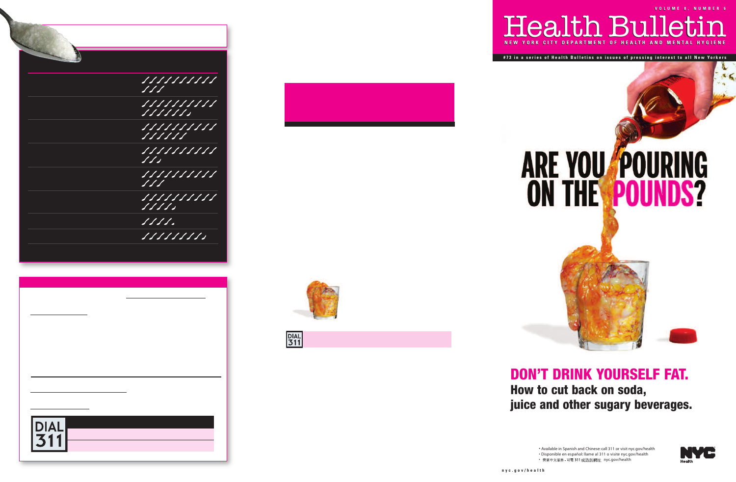Health Bulletin Health Bulletin **V O L M 8 , N M E 6 V O L U M E 8 , N U M B E R 6CITY DEPARTMENT OF HEALTH AND ME** 

**#73 in a series of Health Bulletins on issues of pressing interest to all New Yorkers** 

# **ARE YOU FOURING ON THE POUNDS?**

## **DON'T DRINK YOURSELF FAT. How to cut back on soda, juice and other sugary beverages.**

• Available in Spanish and Chinese: call 311 or visit [nyc.gov/health](http://www.nyc.gov/html/doh/html/home/home.shtml)

• Disponible en español: llame al 311 o visite [nyc.gov/health](http://www.nyc.gov/html/doh/html/home/home.shtml) • 需要中文服務 - 可電 311 或造訪網址 [nyc.gov/health](http://www.nyc.gov/html/doh/html/home/home.shtml)

**Hoolth**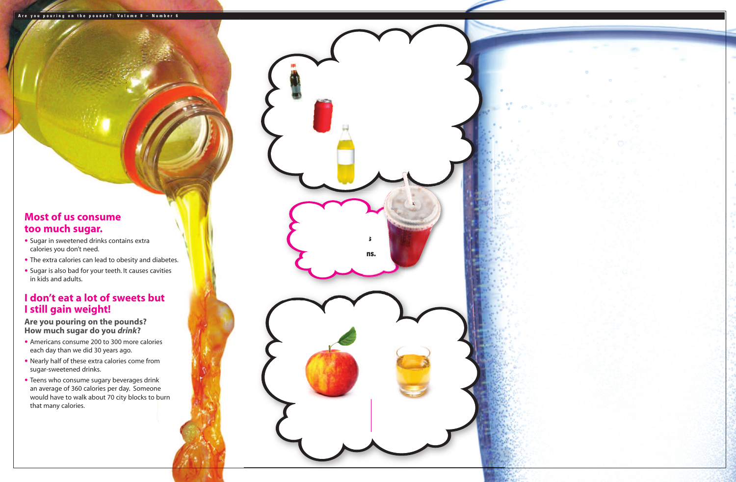### **Most of us consume too much sugar.**

- Sugar in sweetened drinks contains extra calories you don't need.
- The extra calories can lead to obesity and diabetes.
- Sugar is also bad for your teeth. It causes cavities in kids and adults.

## **I don't eat a lot of sweets but I still gain weight!**

**Are you pouring on the pounds? How much sugar do you** *drink***?**

- Americans consume 200 to 300 more calories each day than we did 30 years ago.
- Nearly half of these extra calories come from sugar-sweetened drinks.
- Teens who consume sugary beverages drink an average of 360 calories per day. Someone would have to walk about 70 city blocks to burn that many calories.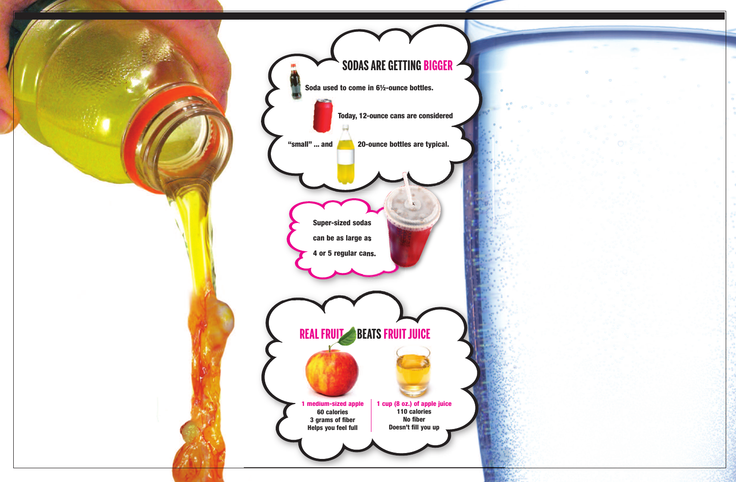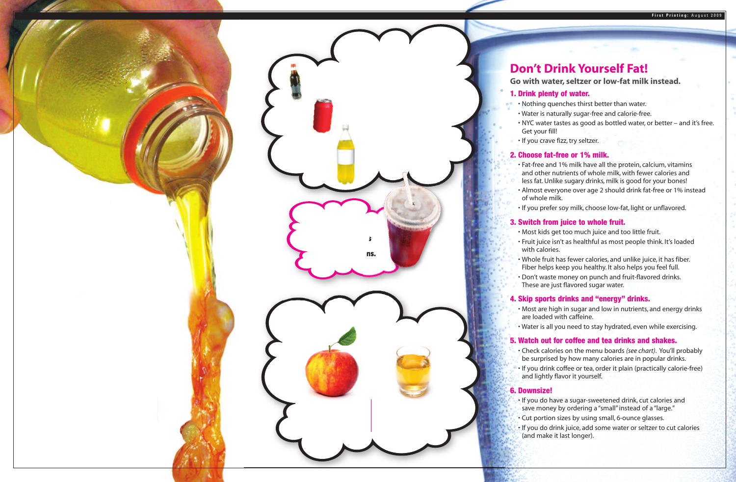## **Don't Drink Yourself Fat!**

**Go with water, seltzer or low-fat milk instead.**

#### **1. Drink plenty of water.**

- Nothing quenches thirst better than water.
- Water is naturally sugar-free and calorie-free.
- NYC water tastes as good as bottled water, or better and it's free. Get your fill!
- If you crave fizz, try seltzer.

#### **2. Choose fat-free or 1% milk.**

- Fat-free and 1% milk have all the protein, calcium, vitamins and other nutrients of whole milk, with fewer calories and less fat. Unlike sugary drinks, milk is good for your bones!
- Almost everyone over age 2 should drink fat-free or 1% instead of whole milk.
- If you prefer soy milk, choose low-fat, light or unflavored.

#### **3. Switch from juice to whole fruit.**

- Most kids get too much juice and too little fruit.
- Fruit juice isn't as healthful as most people think. It's loaded with calories.
- Whole fruit has fewer calories, and unlike juice, it has fiber. Fiber helps keep you healthy. It also helps you feel full.
- Don't waste money on punch and fruit-flavored drinks. These are just flavored sugar water.

#### **4. Skip sports drinks and "energy" drinks.**

- Most are high in sugar and low in nutrients, and energy drinks are loaded with caffeine.
- Water is all you need to stay hydrated, even while exercising.

#### **5. Watch out for coffee and tea drinks and shakes.**

- Check calories on the menu boards *(see chart)*. You'll probably be surprised by how many calories are in popular drinks.
- If you drink coffee or tea, order it plain (practically calorie-free) and lightly flavor it yourself.

#### **6. Downsize!**

- If you do have a sugar-sweetened drink, cut calories and save money by ordering a "small" instead of a "large."
- Cut portion sizes by using small, 6-ounce glasses.
- If you do drink juice, add some water or seltzer to cut calories (and make it last longer).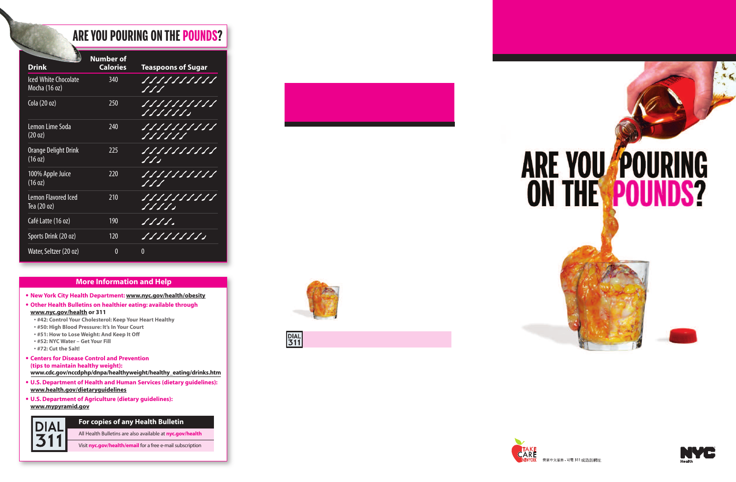## **ARE YOU POURING ON THE POUNDS?**

| <b>Drink</b>                                 | <b>Number of</b><br><b>Calories</b> | <b>Teaspoons of Sugar</b>                              |
|----------------------------------------------|-------------------------------------|--------------------------------------------------------|
| <b>Iced White Chocolate</b><br>Mocha (16 oz) | 340                                 | 1 1 1 1 1 1 1 1 1 1<br>$\mathcal{S}$ of $\mathcal{S}'$ |
| Cola (20 oz)                                 | 250                                 | S S S S S S S                                          |
| Lemon Lime Soda<br>$(20 \text{ oz})$         | 240                                 | <u>888888888</u><br><u>SSSSSS</u>                      |
| Orange Delight Drink<br>(16 oz)              | 225                                 | $\int \int \int$                                       |
| 100% Apple Juice<br>(16 oz)                  | 220                                 | 1111111111<br>$\sqrt{11}$                              |
| <b>Lemon Flavored Iced</b><br>Tea (20 oz)    | 210                                 |                                                        |
| Café Latte (16 oz)                           | 190                                 | S S S S o                                              |
| Sports Drink (20 oz)                         | 120                                 |                                                        |
| Water, Seltzer (20 oz)                       | 0                                   | 0                                                      |

#### **More Information and Help**

- **• New York City Health Department: [www.nyc.gov/health/obesity](http://www.nyc.gov/html/doh/html/cdp/cdp_pan.shtml)**
- **• Other Health Bulletins on healthier eating: available through [www.nyc.gov/health](http://www.nyc.gov/html/doh/html/home/home.shtml) or 311**
	- **#42: Control Your Cholesterol: Keep Your Heart Healthy**
	- **#50: High Blood Pressure: It's In Your Court**
	- **#51: How to Lose Weight: And Keep It Off**
	- **#52: NYC Water Get Your Fill**
	- **#72: Cut the Salt!**
- **• Centers for Disease Control and Prevention (tips to maintain healthy weight): [www.cdc.gov/nccdphp/dnpa/healthyweight/healthy\\_eating/drinks.htm](http://www.cdc.gov/healthyweight/healthy_eating/drinks.html)**
- **• U.S. Department of Health and Human Services (dietary guidelines): [www.health.gov/dietaryguidelines](http://www.health.gov/dietaryguidelines/)**
- **• U.S. Department of Agriculture (dietary guidelines): [www.mypyramid.gov](http://www.mypyramid.gov/)**



#### **For copies of any Health Bulletin**

All Health Bulletins are also available at **[nyc.gov/health](http://www.nyc.gov/html/doh/html/home/home.shtml)**

Visit **[nyc.gov/health/email](https://www.nyc.gov/portal/site/nycgov/menuitem.ce6bc138adfcc897070523102f8089a0/)** for a free e-mail subscription